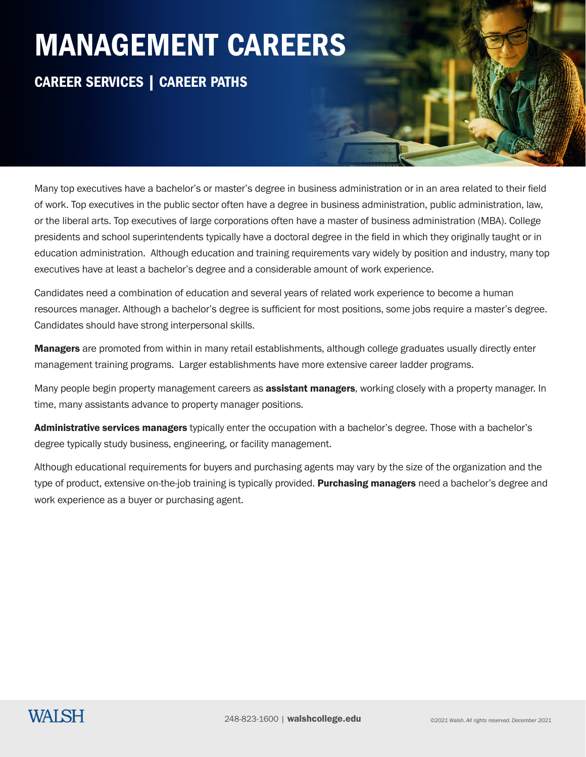### CAREER SERVICES | CAREER PATHS

Many top executives have a bachelor's or master's degree in business administration or in an area related to their field of work. Top executives in the public sector often have a degree in business administration, public administration, law, or the liberal arts. Top executives of large corporations often have a master of business administration (MBA). College presidents and school superintendents typically have a doctoral degree in the field in which they originally taught or in education administration. Although education and training requirements vary widely by position and industry, many top executives have at least a bachelor's degree and a considerable amount of work experience.

Candidates need a combination of education and several years of related work experience to become a human resources manager. Although a bachelor's degree is sufficient for most positions, some jobs require a master's degree. Candidates should have strong interpersonal skills.

Managers are promoted from within in many retail establishments, although college graduates usually directly enter management training programs. Larger establishments have more extensive career ladder programs.

Many people begin property management careers as **assistant managers**, working closely with a property manager. In time, many assistants advance to property manager positions.

Administrative services managers typically enter the occupation with a bachelor's degree. Those with a bachelor's degree typically study business, engineering, or facility management.

Although educational requirements for buyers and purchasing agents may vary by the size of the organization and the type of product, extensive on-the-job training is typically provided. Purchasing managers need a bachelor's degree and work experience as a buyer or purchasing agent.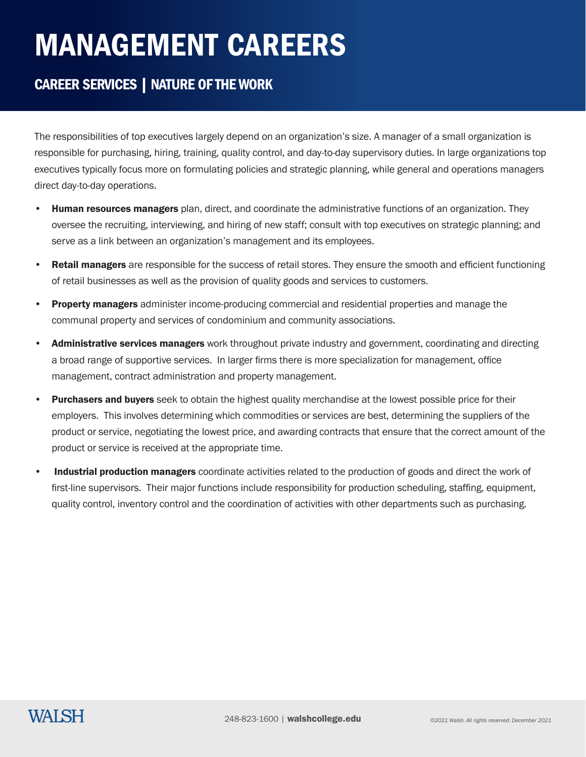### CAREER SERVICES | NATURE OF THE WORK

The responsibilities of top executives largely depend on an organization's size. A manager of a small organization is responsible for purchasing, hiring, training, quality control, and day-to-day supervisory duties. In large organizations top executives typically focus more on formulating policies and strategic planning, while general and operations managers direct day-to-day operations.

- Human resources managers plan, direct, and coordinate the administrative functions of an organization. They oversee the recruiting, interviewing, and hiring of new staff; consult with top executives on strategic planning; and serve as a link between an organization's management and its employees.
- **Retail managers** are responsible for the success of retail stores. They ensure the smooth and efficient functioning of retail businesses as well as the provision of quality goods and services to customers.
- **Property managers** administer income-producing commercial and residential properties and manage the communal property and services of condominium and community associations.
- Administrative services managers work throughout private industry and government, coordinating and directing a broad range of supportive services. In larger firms there is more specialization for management, office management, contract administration and property management.
- Purchasers and buyers seek to obtain the highest quality merchandise at the lowest possible price for their employers. This involves determining which commodities or services are best, determining the suppliers of the product or service, negotiating the lowest price, and awarding contracts that ensure that the correct amount of the product or service is received at the appropriate time.
- Industrial production managers coordinate activities related to the production of goods and direct the work of first-line supervisors. Their major functions include responsibility for production scheduling, staffing, equipment, quality control, inventory control and the coordination of activities with other departments such as purchasing.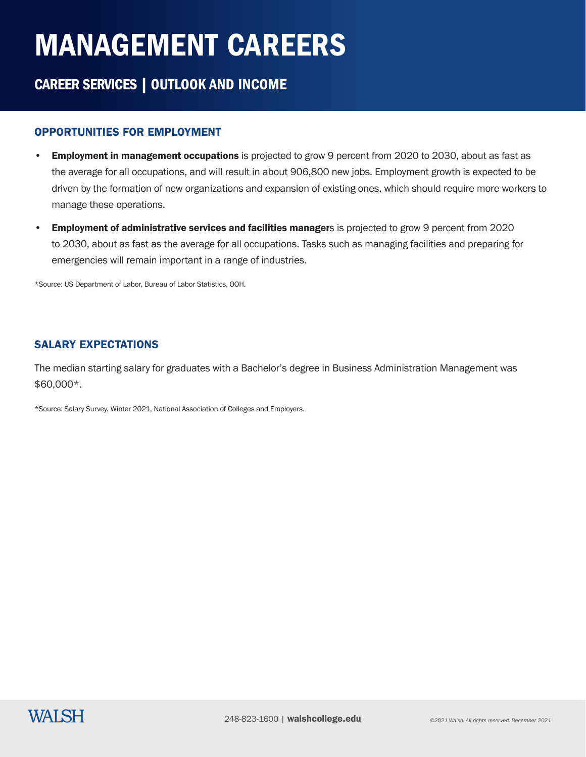### CAREER SERVICES | OUTLOOK AND INCOME

#### OPPORTUNITIES FOR EMPLOYMENT

- **Employment in management occupations** is projected to grow 9 percent from 2020 to 2030, about as fast as the average for all occupations, and will result in about 906,800 new jobs. Employment growth is expected to be driven by the formation of new organizations and expansion of existing ones, which should require more workers to manage these operations.
- Employment of administrative services and facilities managers is projected to grow 9 percent from 2020 to 2030, about as fast as the average for all occupations. Tasks such as managing facilities and preparing for emergencies will remain important in a range of industries.

\*Source: US Department of Labor, Bureau of Labor Statistics, OOH.

#### SALARY EXPECTATIONS

The median starting salary for graduates with a Bachelor's degree in Business Administration Management was \$60,000\*.

\*Source: Salary Survey, Winter 2021, National Association of Colleges and Employers.